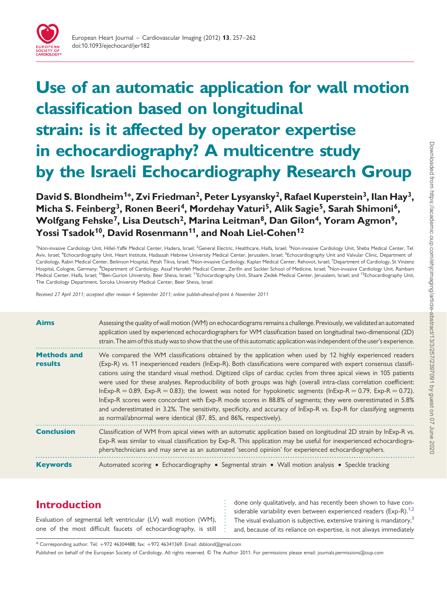

# Use of an automatic application for wall motion classification based on longitudinal strain: is it affected by operator expertise in echocardiography? A multicentre study by the Israeli Echocardiography Research Group

David S. Blondheim<sup>1\*</sup>, Zvi Friedman<sup>2</sup>, Peter Lysyansky<sup>2</sup>, Rafael Kuperstein<sup>3</sup>, Ilan Hay<sup>3</sup>, Micha S. Feinberg<sup>3</sup>, Ronen Beeri<sup>4</sup>, Mordehay Vaturi<sup>5</sup>, Alik Sagie<sup>5</sup>, Sarah Shimoni<sup>6</sup>, Wolfgang Fehske<sup>7</sup>, Lisa Deutsch<sup>2</sup>, Marina Leitman<sup>8</sup>, Dan Gilon<sup>4</sup>, Yoram Agmon<sup>9</sup>, Yossi Tsadok<sup>10</sup>, David Rosenmann<sup>11</sup>, and Noah Liel-Cohen<sup>12</sup>

<sup>1</sup>Non-invasive Cardiology Unit, Hillel-Yaffe Medical Center, Hadera, Israel; <sup>2</sup>General Electric, Healthcare, Haifa, Israel; <sup>3</sup>Non-invasive Cardiology Unit, Sheba Medical Center, Tel Aviv, Israel; <sup>4</sup>Echocardiography Unit, Heart Institute, Hadassah Hebrew University Medical Center, Jerusalem, Israel; <sup>5</sup>Echocardiography Unit and Valvular Clinic, Department of Cardiology, Rabin Medical Center, Beilinson Hospital, Petah Tikva, Israel; <sup>6</sup>Non-invasive Cardiology, Kaplan Medical Center, Rehovot, Israel; <sup>7</sup>Department of Cardiology, St Vinzenz Hospital, Cologne, Germany; <sup>8</sup>Department of Cardiology, Assaf Harofeh Medical Center, Zerifin and Sackler School of Medicine, Israel; <sup>9</sup>Non-invasive Cardiology Unit, Rambam Medical Center, Haifa, Israel; <sup>10</sup>Ben-Gurion University, Beer Sheva, Israel; <sup>11</sup>Echocardiography Unit, Shaare Zedek Medical Center, Jerusalem, Israel; and <sup>12</sup>Echocardiography Unit, The Cardiology Department, Soroka University Medical Center, Beer Sheva, Israel

Received 27 April 2011; accepted after revision 4 September 2011; online publish-ahead-of-print 6 November 2011

| <b>Aims</b>                   | Assessing the quality of wall motion (WM) on echocardiograms remains a challenge. Previously, we validated an automated<br>application used by experienced echocardiographers for WM classification based on longitudinal two-dimensional (2D)<br>strain. The aim of this study was to show that the use of this automatic application was independent of the user's experience.                                                                                                                                                                                                                                                                                                                                                                                                                                                                                                                              |
|-------------------------------|---------------------------------------------------------------------------------------------------------------------------------------------------------------------------------------------------------------------------------------------------------------------------------------------------------------------------------------------------------------------------------------------------------------------------------------------------------------------------------------------------------------------------------------------------------------------------------------------------------------------------------------------------------------------------------------------------------------------------------------------------------------------------------------------------------------------------------------------------------------------------------------------------------------|
| <b>Methods and</b><br>results | We compared the WM classifications obtained by the application when used by 12 highly experienced readers<br>(Exp-R) vs. 11 inexperienced readers (InExp-R). Both classifications were compared with expert consensus classifi-<br>cations using the standard visual method. Digitized clips of cardiac cycles from three apical views in 105 patients<br>were used for these analyses. Reproducibility of both groups was high (overall intra-class correlation coefficient:<br>In Exp-R = 0.89, Exp-R = 0.83); the lowest was noted for hypokinetic segments (In Exp-R = 0.79, Exp-R = 0.72).<br>In Exp-R scores were concordant with Exp-R mode scores in 88.8% of segments; they were overestimated in 5.8%<br>and underestimated in 3.2%. The sensitivity, specificity, and accuracy of InExp-R vs. Exp-R for classifying segments<br>as normal/abnormal were identical (87, 85, and 86%, respectively). |
| <b>Conclusion</b>             | Classification of WM from apical views with an automatic application based on longitudinal 2D strain by InExp-R vs.<br>Exp-R was similar to visual classification by Exp-R. This application may be useful for inexperienced echocardiogra-<br>phers/technicians and may serve as an automated 'second opinion' for experienced echocardiographers.                                                                                                                                                                                                                                                                                                                                                                                                                                                                                                                                                           |
| <b>Keywords</b>               | Automated scoring • Echocardiography • Segmental strain • Wall motion analysis • Speckle tracking                                                                                                                                                                                                                                                                                                                                                                                                                                                                                                                                                                                                                                                                                                                                                                                                             |

## Introduction

Evaluation of segmental left ventricular (LV) wall motion (WM), one of the most difficult faucets of echocardiography, is still done only qualitatively, and has recently been shown to have con-siderable variability even between experienced readers (Exp-R).<sup>[1](#page-5-0),[2](#page-5-0)</sup> The visual evaluation is subjective, extensive training is mandatory, $3$ and, because of its reliance on expertise, is not always immediately

\* Corresponding author. Tel: +972 46304488; fax: +972 46341369. Email: dsblond@gmail.com

Published on behalf of the European Society of Cardiology. All rights reserved. © The Author 2011. For permissions please email: journals.permissions@oup.com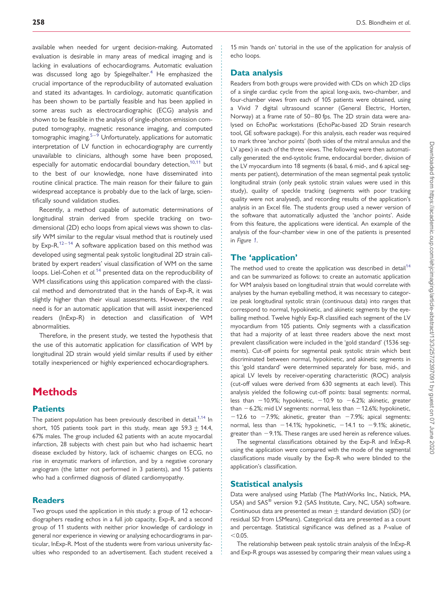available when needed for urgent decision-making. Automated evaluation is desirable in many areas of medical imaging and is lacking in evaluations of echocardiograms. Automatic evaluation was discussed long ago by Spiegelhalter.<sup>[4](#page-5-0)</sup> He emphasized the crucial importance of the reproducibility of automated evaluation and stated its advantages. In cardiology, automatic quantification has been shown to be partially feasible and has been applied in some areas such as electrocardiographic (ECG) analysis and shown to be feasible in the analysis of single-photon emission computed tomography, magnetic resonance imaging, and computed tomographic imaging.<sup>5-[9](#page-5-0)</sup> Unfortunately, applications for automatic interpretation of LV function in echocardiography are currently unavailable to clinicians, although some have been proposed, especially for automatic endocardial boundary detection,<sup>[10,11](#page-5-0)</sup> but to the best of our knowledge, none have disseminated into routine clinical practice. The main reason for their failure to gain widespread acceptance is probably due to the lack of large, scientifically sound validation studies.

Recently, a method capable of automatic determinations of longitudinal strain derived from speckle tracking on twodimensional (2D) echo loops from apical views was shown to classify WM similar to the regular visual method that is routinely used by Exp-R.<sup>[12](#page-5-0)-[14](#page-5-0)</sup> A software application based on this method was developed using segmental peak systolic longitudinal 2D strain calibrated by expert readers' visual classification of WM on the same loops. Liel-Cohen et  $al$ <sup>[14](#page-5-0)</sup> presented data on the reproducibility of WM classifications using this application compared with the classical method and demonstrated that in the hands of Exp-R, it was slightly higher than their visual assessments. However, the real need is for an automatic application that will assist inexperienced readers (InExp-R) in detection and classification of WM abnormalities.

Therefore, in the present study, we tested the hypothesis that the use of this automatic application for classification of WM by longitudinal 2D strain would yield similar results if used by either totally inexperienced or highly experienced echocardiographers.

### **Methods**

#### **Patients**

The patient population has been previously described in detail.<sup>1,[14](#page-5-0)</sup> In short, 105 patients took part in this study, mean age 59.3  $\pm$  14.4, 67% males. The group included 62 patients with an acute myocardial infarction, 28 subjects with chest pain but who had ischaemic heart disease excluded by history, lack of ischaemic changes on ECG, no rise in enzymatic markers of infarction, and by a negative coronary angiogram (the latter not performed in 3 patients), and 15 patients who had a confirmed diagnosis of dilated cardiomyopathy.

#### Readers

Two groups used the application in this study: a group of 12 echocardiographers reading echos in a full job capacity, Exp-R, and a second group of 11 students with neither prior knowledge of cardiology in general nor experience in viewing or analysing echocardiograms in particular, InExp-R. Most of the students were from various university faculties who responded to an advertisement. Each student received a 15 min 'hands on' tutorial in the use of the application for analysis of echo loops.

#### Data analysis

Readers from both groups were provided with CDs on which 2D clips of a single cardiac cycle from the apical long-axis, two-chamber, and four-chamber views from each of 105 patients were obtained, using a Vivid 7 digital ultrasound scanner (General Electric, Horten, Norway) at a frame rate of 50-80 fps. The 2D strain data were analysed on EchoPac workstations (EchoPac-based 2D Strain research tool, GE software package). For this analysis, each reader was required to mark three 'anchor points' (both sides of the mitral annulus and the LV apex) in each of the three views. The following were then automatically generated: the end-systolic frame, endocardial border, division of the LV myocardium into 18 segments (6 basal, 6 mid-, and 6 apical segments per patient), determination of the mean segmental peak systolic longitudinal strain (only peak systolic strain values were used in this study), quality of speckle tracking (segments with poor tracking quality were not analysed), and recording results of the application's analysis in an Excel file. The students group used a newer version of the software that automatically adjusted the 'anchor points'. Aside from this feature, the applications were identical. An example of the analysis of the four-chamber view in one of the patients is presented in Figure [1](#page-2-0).

#### The 'application'

The method used to create the application was described in detail<sup>[14](#page-5-0)</sup> and can be summarized as follows: to create an automatic application for WM analysis based on longitudinal strain that would correlate with analyses by the human eyeballing method, it was necessary to categorize peak longitudinal systolic strain (continuous data) into ranges that correspond to normal, hypokinetic, and akinetic segments by the eyeballing method. Twelve highly Exp-R classified each segment of the LV myocardium from 105 patients. Only segments with a classification that had a majority of at least three readers above the next most prevalent classification were included in the 'gold standard' (1536 segments). Cut-off points for segmental peak systolic strain which best discriminated between normal, hypokinetic, and akinetic segments in this 'gold standard' were determined separately for base, mid-, and apical LV levels by receiver-operating characteristic (ROC) analysis (cut-off values were derived from 630 segments at each level). This analysis yielded the following cut-off points: basal segments: normal, less than  $-10.9\%$ ; hypokinetic,  $-10.9$  to  $-6.2\%$ ; akinetic, greater than  $-6.2\%$ ; mid LV segments: normal, less than  $-12.6\%$ ; hypokinetic,  $-12.6$  to  $-7.9\%$ ; akinetic, greater than  $-7.9\%$ ; apical segments: normal, less than  $-14.1\%$ ; hypokinetic,  $-14.1$  to  $-9.1\%$ ; akinetic, greater than  $-9.1\%$ . These ranges are used herein as reference values.

The segmental classifications obtained by the Exp-R and InExp-R using the application were compared with the mode of the segmental classifications made visually by the Exp-R who were blinded to the application's classification.

#### Statistical analysis

Data were analysed using Matlab (The MathWorks Inc., Natick, MA, USA) and SAS<sup>®</sup> version 9.2 (SAS Institute, Cary, NC, USA) software. Continuous data are presented as mean  $\pm$  standard deviation (SD) (or residual SD from LSMeans). Categorical data are presented as a count and percentage. Statistical significance was defined as a P-value of  $< 0.05.$ 

The relationship between peak systolic strain analysis of the InExp-R and Exp-R groups was assessed by comparing their mean values using a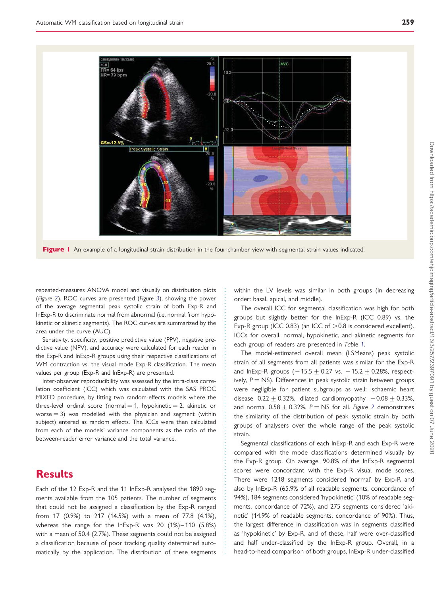<span id="page-2-0"></span>

Figure I An example of a longitudinal strain distribution in the four-chamber view with segmental strain values indicated.

repeated-measures ANOVA model and visually on distribution plots (Figure [2](#page-3-0)). ROC curves are presented (Figure [3](#page-3-0)), showing the power of the average segmental peak systolic strain of both Exp-R and InExp-R to discriminate normal from abnormal (i.e. normal from hypokinetic or akinetic segments). The ROC curves are summarized by the area under the curve (AUC).

Sensitivity, specificity, positive predictive value (PPV), negative predictive value (NPV), and accuracy were calculated for each reader in the Exp-R and InExp-R groups using their respective classifications of WM contraction vs. the visual mode Exp-R classification. The mean values per group (Exp-R and InExp-R) are presented.

Inter-observer reproducibility was assessed by the intra-class correlation coefficient (ICC) which was calculated with the SAS PROC MIXED procedure, by fitting two random-effects models where the three-level ordinal score (normal = 1, hypokinetic = 2, akinetic or worse  $=$  3) was modelled with the physician and segment (within subject) entered as random effects. The ICCs were then calculated from each of the models' variance components as the ratio of the between-reader error variance and the total variance.

## **Results**

Each of the 12 Exp-R and the 11 InExp-R analysed the 1890 segments available from the 105 patients. The number of segments that could not be assigned a classification by the Exp-R ranged from 17 (0.9%) to 217 (14.5%) with a mean of 77.8 (4.1%), whereas the range for the InExp-R was 20 (1%)-110 (5.8%) with a mean of 50.4 (2.7%). These segments could not be assigned a classification because of poor tracking quality determined automatically by the application. The distribution of these segments

within the LV levels was similar in both groups (in decreasing order: basal, apical, and middle).

The overall ICC for segmental classification was high for both groups but slightly better for the InExp-R (ICC 0.89) vs. the Exp-R group (ICC 0.83) (an ICC of  $>$  0.8 is considered excellent). ICCs for overall, normal, hypokinetic, and akinetic segments for each group of readers are presented in Table [1](#page-3-0).

The model-estimated overall mean (LSMeans) peak systolic strain of all segments from all patients was similar for the Exp-R and InExp-R groups  $(-15.5 + 0.27 \text{ vs. } -15.2 + 0.28\%$ , respectively,  $P = NS$ ). Differences in peak systolic strain between groups were negligible for patient subgroups as well: ischaemic heart disease  $0.22 + 0.32$ %, dilated cardiomyopathy  $-0.08 + 0.33$ %, and normal  $0.58 + 0.32$  $0.58 + 0.32$ %,  $P = NS$  for all. Figure 2 demonstrates the similarity of the distribution of peak systolic strain by both groups of analysers over the whole range of the peak systolic strain.

Segmental classifications of each InExp-R and each Exp-R were compared with the mode classifications determined visually by the Exp-R group. On average, 90.8% of the InExp-R segmental scores were concordant with the Exp-R visual mode scores. There were 1218 segments considered 'normal' by Exp-R and also by InExp-R (65.9% of all readable segments, concordance of 94%), 184 segments considered 'hypokinetic' (10% of readable segments, concordance of 72%), and 275 segments considered 'akinetic' (14.9% of readable segments, concordance of 90%). Thus, the largest difference in classification was in segments classified as 'hypokinetic' by Exp-R, and of these, half were over-classified and half under-classified by the InExp-R group. Overall, in a head-to-head comparison of both groups, InExp-R under-classified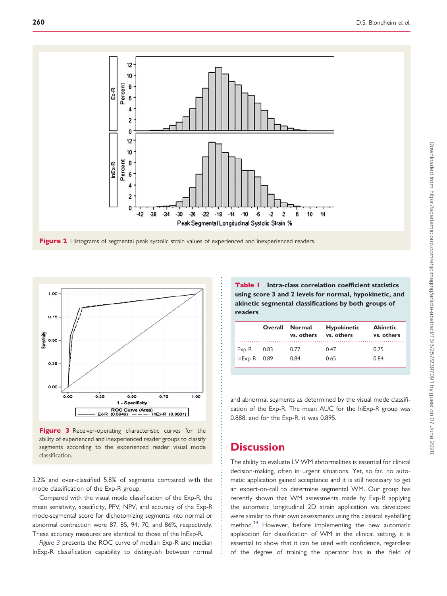<span id="page-3-0"></span>

![](_page_3_Figure_2.jpeg)

![](_page_3_Figure_3.jpeg)

Figure 3 Receiver-operating characteristic curves for the ability of experienced and inexperienced reader groups to classify segments according to the experienced reader visual mode classification.

3.2% and over-classified 5.8% of segments compared with the mode classification of the Exp-R group.

Compared with the visual mode classification of the Exp-R, the mean sensitivity, specificity, PPV, NPV, and accuracy of the Exp-R mode-segmental score for dichotomizing segments into normal or abnormal contraction were 87, 85, 94, 70, and 86%, respectively. These accuracy measures are identical to those of the InExp-R.

Figure 3 presents the ROC curve of median Exp-R and median InExp-R classification capability to distinguish between normal Table 1 Intra-class correlation coefficient statistics using score 3 and 2 levels for normal, hypokinetic, and akinetic segmental classifications by both groups of readers

|                |      | Overall Normal<br>vs. others | <b>Hypokinetic</b><br>vs. others | <b>Akinetic</b><br>vs. others |
|----------------|------|------------------------------|----------------------------------|-------------------------------|
| $Exp-R$        | 0.83 | 0.77                         | 0.47                             | 0.75                          |
| $lnExp-R$ 0.89 |      | 0.84                         | 0.65                             | 0.84                          |

and abnormal segments as determined by the visual mode classification of the Exp-R. The mean AUC for the InExp-R group was 0.888, and for the Exp-R, it was 0.895.

## **Discussion**

The ability to evaluate LV WM abnormalities is essential for clinical decision-making, often in urgent situations. Yet, so far, no automatic application gained acceptance and it is still necessary to get an expert-on-call to determine segmental WM. Our group has recently shown that WM assessments made by Exp-R applying the automatic longitudinal 2D strain application we developed were similar to their own assessments using the classical eyeballing method.<sup>[14](#page-5-0)</sup> However, before implementing the new automatic application for classification of WM in the clinical setting, it is essential to show that it can be used with confidence, regardless of the degree of training the operator has in the field of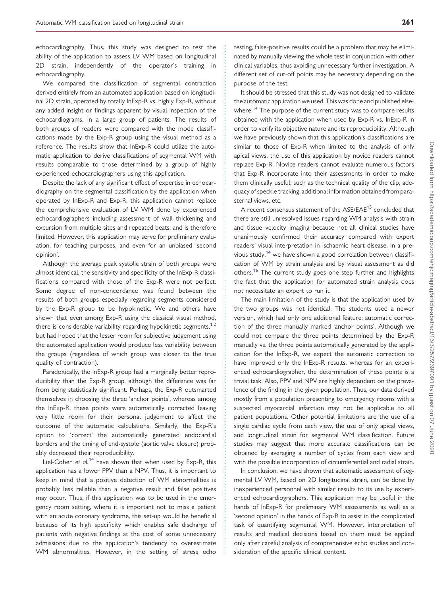echocardiography. Thus, this study was designed to test the ability of the application to assess LV WM based on longitudinal 2D strain, independently of the operator's training in echocardiography.

We compared the classification of segmental contraction derived entirely from an automated application based on longitudinal 2D strain, operated by totally InExp-R vs. highly Exp-R, without any added insight or findings apparent by visual inspection of the echocardiograms, in a large group of patients. The results of both groups of readers were compared with the mode classifications made by the Exp-R group using the visual method as a reference. The results show that InExp-R could utilize the automatic application to derive classifications of segmental WM with results comparable to those determined by a group of highly experienced echocardiographers using this application.

Despite the lack of any significant effect of expertise in echocardiography on the segmental classification by the application when operated by InExp-R and Exp-R, this application cannot replace the comprehensive evaluation of LV WM done by experienced echocardiographers including assessment of wall thickening and excursion from multiple sites and repeated beats, and is therefore limited. However, this application may serve for preliminary evaluation, for teaching purposes, and even for an unbiased 'second opinion'.

Although the average peak systolic strain of both groups were almost identical, the sensitivity and specificity of the InExp-R classifications compared with those of the Exp-R were not perfect. Some degree of non-concordance was found between the results of both groups especially regarding segments considered by the Exp-R group to be hypokinetic. We and others have shown that even among Exp-R using the classical visual method, there is considerable variability regarding hypokinetic segments,<sup>[1](#page-5-0),[2](#page-5-0)</sup> but had hoped that the lesser room for subjective judgement using the automated application would produce less variability between the groups (regardless of which group was closer to the true quality of contraction).

Paradoxically, the InExp-R group had a marginally better reproducibility than the Exp-R group, although the difference was far from being statistically significant. Perhaps, the Exp-R outsmarted themselves in choosing the three 'anchor points', whereas among the InExp-R, these points were automatically corrected leaving very little room for their personal judgement to affect the outcome of the automatic calculations. Similarly, the Exp-R's option to 'correct' the automatically generated endocardial borders and the timing of end-systole (aortic valve closure) probably decreased their reproducibility.

Liel-Cohen et  $al$ .<sup>[14](#page-5-0)</sup> have shown that when used by Exp-R, this application has a lower PPV than a NPV. Thus, it is important to keep in mind that a positive detection of WM abnormalities is probably less reliable than a negative result and false positives may occur. Thus, if this application was to be used in the emergency room setting, where it is important not to miss a patient with an acute coronary syndrome, this set-up would be beneficial because of its high specificity which enables safe discharge of patients with negative findings at the cost of some unnecessary admissions due to the application's tendency to overestimate WM abnormalities. However, in the setting of stress echo

testing, false-positive results could be a problem that may be eliminated by manually viewing the whole test in conjunction with other clinical variables, thus avoiding unnecessary further investigation. A different set of cut-off points may be necessary depending on the purpose of the test.

It should be stressed that this study was not designed to validate the automatic application we used. This was done and published else-where.<sup>[14](#page-5-0)</sup> The purpose of the current study was to compare results obtained with the application when used by Exp-R vs. InExp-R in order to verify its objective nature and its reproducibility. Although we have previously shown that this application's classifications are similar to those of Exp-R when limited to the analysis of only apical views, the use of this application by novice readers cannot replace Exp-R. Novice readers cannot evaluate numerous factors that Exp-R incorporate into their assessments in order to make them clinically useful, such as the technical quality of the clip, adequacy of speckle tracking, additional information obtained from parasternal views, etc.

A recent consensus statement of the ASE/EAE<sup>[15](#page-5-0)</sup> concluded that there are still unresolved issues regarding WM analysis with strain and tissue velocity imaging because not all clinical studies have unanimously confirmed their accuracy compared with expert readers' visual interpretation in ischaemic heart disease. In a previous study, $14$  we have shown a good correlation between classification of WM by strain analysis and by visual assessment as did others.<sup>[16](#page-5-0)</sup> The current study goes one step further and highlights the fact that the application for automated strain analysis does not necessitate an expert to run it.

The main limitation of the study is that the application used by the two groups was not identical. The students used a newer version, which had only one additional feature: automatic correction of the three manually marked 'anchor points'. Although we could not compare the three points determined by the Exp-R manually vs. the three points automatically generated by the application for the InExp-R, we expect the automatic correction to have improved only the InExp-R results, whereas for an experienced echocardiographer, the determination of these points is a trivial task. Also, PPV and NPV are highly dependent on the prevalence of the finding in the given population. Thus, our data derived mostly from a population presenting to emergency rooms with a suspected myocardial infarction may not be applicable to all patient populations. Other potential limitations are the use of a single cardiac cycle from each view, the use of only apical views, and longitudinal strain for segmental WM classification. Future studies may suggest that more accurate classifications can be obtained by averaging a number of cycles from each view and with the possible incorporation of circumferential and radial strain.

In conclusion, we have shown that automatic assessment of segmental LV WM, based on 2D longitudinal strain, can be done by inexperienced personnel with similar results to its use by experienced echocardiographers. This application may be useful in the hands of InExp-R for preliminary WM assessments as well as a 'second opinion' in the hands of Exp-R to assist in the complicated task of quantifying segmental WM. However, interpretation of results and medical decisions based on them must be applied only after careful analysis of comprehensive echo studies and consideration of the specific clinical context.